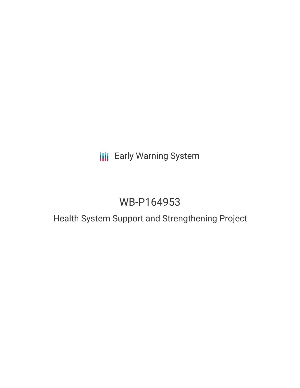# **III** Early Warning System

# WB-P164953

## Health System Support and Strengthening Project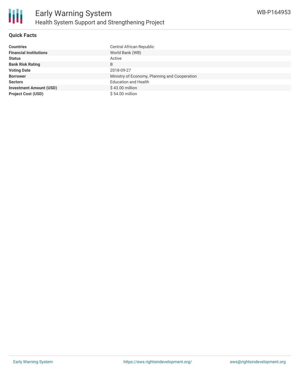

## **Quick Facts**

| <b>Countries</b>               | Central African Republic                      |
|--------------------------------|-----------------------------------------------|
| <b>Financial Institutions</b>  | World Bank (WB)                               |
| <b>Status</b>                  | Active                                        |
| <b>Bank Risk Rating</b>        | B                                             |
| <b>Voting Date</b>             | 2018-09-27                                    |
| <b>Borrower</b>                | Ministry of Economy, Planning and Cooperation |
| <b>Sectors</b>                 | <b>Education and Health</b>                   |
| <b>Investment Amount (USD)</b> | \$43.00 million                               |
| <b>Project Cost (USD)</b>      | \$54.00 million                               |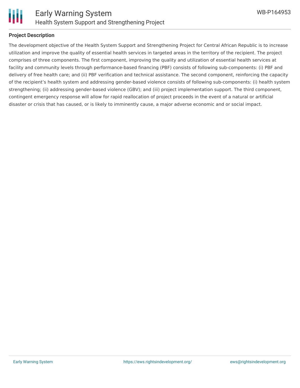

#### **Project Description**

The development objective of the Health System Support and Strengthening Project for Central African Republic is to increase utilization and improve the quality of essential health services in targeted areas in the territory of the recipient. The project comprises of three components. The first component, improving the quality and utilization of essential health services at facility and community levels through performance-based financing (PBF) consists of following sub-components: (i) PBF and delivery of free health care; and (ii) PBF verification and technical assistance. The second component, reinforcing the capacity of the recipient's health system and addressing gender-based violence consists of following sub-components: (i) health system strengthening; (ii) addressing gender-based violence (GBV); and (iii) project implementation support. The third component, contingent emergency response will allow for rapid reallocation of project proceeds in the event of a natural or artificial disaster or crisis that has caused, or is likely to imminently cause, a major adverse economic and or social impact.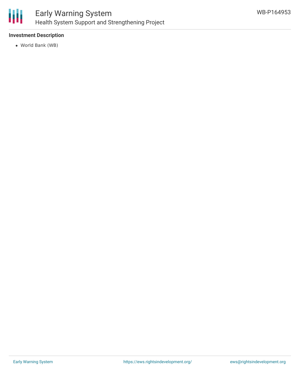

## **Investment Description**

World Bank (WB)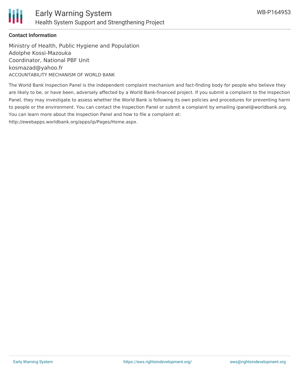

## **Contact Information**

Ministry of Health, Public Hygiene and Population Adolphe Kossi-Mazouka Coordinator, National PBF Unit kosmazad@yahoo.fr ACCOUNTABILITY MECHANISM OF WORLD BANK

The World Bank Inspection Panel is the independent complaint mechanism and fact-finding body for people who believe they are likely to be, or have been, adversely affected by a World Bank-financed project. If you submit a complaint to the Inspection Panel, they may investigate to assess whether the World Bank is following its own policies and procedures for preventing harm to people or the environment. You can contact the Inspection Panel or submit a complaint by emailing ipanel@worldbank.org. You can learn more about the Inspection Panel and how to file a complaint at: http://ewebapps.worldbank.org/apps/ip/Pages/Home.aspx.